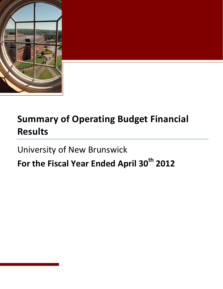

# **Summary of Operating Budget Financial Results**

University of New Brunswick

# **For the Fiscal Year Ended April 30th 2012**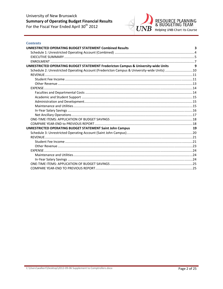#### University of New Brunswick **Summary of Operating Budget Financial Results** For the Fiscal Year Ended April 30<sup>th</sup> 2012



#### **Contents UNRESTRICTED OPERATING BUDGET STATEMENT Combined Results**  $\overline{\mathbf{3}}$ UNRESTRICTED OPERATING BUDGET STATEMENT Fredericton Campus & University-wide Units  $\mathbf{q}$ Schedule 2: Unrestricted Operating Account (Fredericton Campus & University-wide Units) ..........................10 **UNRESTRICTED OPERATING BUDGET STATEMENT Saint John Campus** 19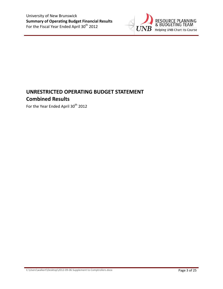

# **UNRESTRICTED OPERATING BUDGET STATEMENT Combined Results**

For the Year Ended April 30<sup>th</sup> 2012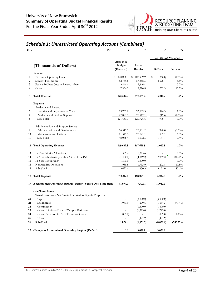

# *Schedule 1: Unrestricted Operating Account (Combined)*

| Row            | Col.                                                           | A                                       | В                        | C                    | D           |
|----------------|----------------------------------------------------------------|-----------------------------------------|--------------------------|----------------------|-------------|
|                |                                                                |                                         |                          | Fav (Unfav) Variance |             |
|                | (Thousands of Dollars)                                         | Approved<br><b>Budget</b><br>(Restated) | Actual<br><b>Results</b> | Dollars              | Percent     |
|                | Revenue                                                        |                                         |                          |                      |             |
| 1              | Provincial Operating Grant                                     | \$108,066.7                             | 107,999.9<br>\$          | \$<br>(66.8)         | $(0.1\%)$   |
| $\overline{c}$ | Student Fee Income                                             | 52,759.6                                | 57,388.3                 | 4,628.7              | 8.8%        |
| 3              | Federal Indirect Cost of Research Grant                        | 3,446.4                                 | 3,446.4                  |                      | $0.0\%$     |
| 4              | Other                                                          | 7,964.5                                 | 9,216.8                  | 1,252.3              | $15.7\%$    |
| 5              | <b>Total Revenue</b>                                           | 172,237.2                               | 178,051.4                | 5,814.2              | 3.4%        |
|                | <b>Expense</b>                                                 |                                         |                          |                      |             |
|                | Academic and Research                                          |                                         |                          |                      |             |
| 6              | Faculties and Departmental Costs                               | 93,735.8                                | 92,809.5                 | 926.3                | $1.0\%$     |
| 7              | Academic and Student Support                                   | 27,897.5                                | 27,917.1                 | (19.6)               | $(0.1\%)$   |
| 8              | Sub-Total                                                      | 121,633.3                               | 120,726.6                | 906.7                | 0.7%        |
|                | Administration and Support Services                            |                                         |                          |                      |             |
| 9              | Administration and Development                                 | 26,513.2                                | 26,861.2                 | (348.0)              | $(1.3\%)$   |
| 10             | Maintenance and Utilities                                      | 21,543.3                                | 20,041.1                 | 1,502.1              | $7.0\%$     |
| 11             | Sub-Total                                                      | 48,056.4                                | 46,902.3                 | 1,154.1              | 2.4%        |
| 12             | <b>Total Operating Expense</b>                                 | 169,689.8                               | 167,628.9                | 2,060.8              | 1.2%        |
| 13             | In Year Priority Allocations                                   | 1,585.6                                 | 1,585.6                  |                      | $0.0\%$     |
| 14             | In Year Salary Savings within 'Slices of the Pie'              | (1,400.0)                               | (4,369.2)                | 2,969.2              | 212.1%      |
| 15             | In Year Contingency                                            | 1,500.0                                 | 1,500.0                  |                      | $0.0\%$     |
| 16             | Net Anallary Operations                                        | 1,936.8                                 | 1,733.9                  | 202.8                | $10.5\%$    |
| 17             | Sub-Total                                                      | 3,622.4                                 | 450.3                    | 3,172.0              | 87.6%       |
| 18             | <b>Total Expense</b>                                           | 173,312.1                               | 168,079.3                | 5,232.9              | 3.0%        |
| 19             | Accumulated Operating Surplus (Deficit) before One-Time Item   | (1,074.9)                               | 9,972.1                  | 11,047.0             |             |
|                | <b>One-Time Items:</b>                                         |                                         |                          |                      |             |
|                | Transfer (to) from Net Assets Restricted for Specific Purposes |                                         |                          |                      |             |
| 20             | Capital                                                        |                                         | (3,300.0)                | (3,300.0)            |             |
| 21             | Specific Risk                                                  | 1,963.9                                 | 299.6                    | (1,664.3)            | $(84.7\%)$  |
| 22             | Contingency                                                    |                                         | (1,800.0)                | (1,800.0)            |             |
| 23             | Other: Eliminate Debt of Campus Residence                      |                                         | (1,723.0)                | (1,723.0)            |             |
| 24             | Other: Provision for Staff Reduction Costs                     | (889.0)                                 |                          | 889.0                | $(100.0\%)$ |
| 25             | Other                                                          |                                         | (427.9)                  | (427.9)              |             |
| 26             | Sub-Total                                                      | 1,074.9                                 | (6,951.3)                | (8,026.2)            | (746.7%)    |
| 27             | Change to Accumulated Operating Surplus (Deficit)              | 0.0                                     | 3,020.8                  | 3,020.8              |             |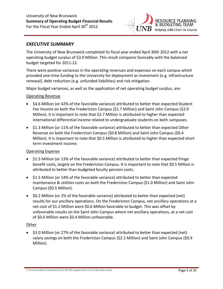

# *EXECUTIVE SUMMARY*

The University of New Brunswick completed its fiscal year ended April 30th 2012 with a net operating budget surplus of \$3.0 Million. This result compares favorably with the balanced budget targeted for 2011‐12.

There were positive variances in the operating revenues and expenses on each campus which provided one‐time funding to the University for deployment as investment (e.g. infrastructure renewal), debt reduction (e.g. unfunded liabilities) and risk mitigation.

Major budget variances, as well as the application of net operating budget surplus, are:

#### Operating Revenue

- \$4.6 Million (or 42% of the favorable variance) attributed to better than expected Student Fee Income on both the Fredericton Campus (\$1.7 Million) and Saint John Campus (\$2.9 Million). It is important to note that \$2.7 Million is attributed to higher than expected international differential income related to undergraduate students on both campuses.
- \$1.3 Million (or 11% of the favorable variance) attributed to better than expected Other Revenue on both the Fredericton Campus (\$0.8 Million) and Saint John Campus (\$0.4 Million). It is important to note that \$0.5 Million is attributed to higher than expected short term investment income.

#### Operating Expense

- \$1.5 Million (or 13% of the favorable variance) attributed to better than expected fringe benefit costs, largely on the Fredericton Campus. It is important to note that \$0.5 Million is attributed to better than budgeted faculty pension costs.
- \$1.5 Million (or 14% of the favorable variance) attributed to better than expected maintenance & utilities costs on both the Fredericton Campus (\$1.0 Million) and Saint John Campus (\$0.5 Million).
- \$0.2 Million (or 2% of the favorable variance) attributed to better than expected (net) results for our ancillary operations. On the Fredericton Campus, net ancillary operations at a net cost of \$1.2 Million were \$0.6 Million favorable to budget. This was offset by unfavorable results on the Saint John Campus where net ancillary operations, at a net cost of \$0.6 Million were \$0.4 Million unfavorable.

#### **Other**

• \$3.0 Million (or 27% of the favorable variance) attributed to better than expected (net) salary savings on both the Fredericton Campus (\$2.1 Million) and Saint John Campus (\$0.9 Million).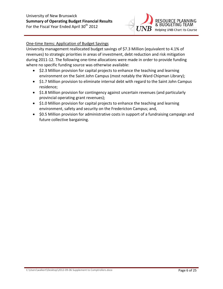

#### One‐time Items: Application of Budget Savings

University management reallocated budget savings of \$7.3 Million (equivalent to 4.1% of revenues) to strategic priorities in areas of investment, debt reduction and risk mitigation during 2011‐12. The following one‐time allocations were made in order to provide funding where no specific funding source was otherwise available:

- \$2.3 Million provision for capital projects to enhance the teaching and learning environment on the Saint John Campus (most notably the Ward Chipman Library);
- \$1.7 Million provision to eliminate internal debt with regard to the Saint John Campus residence;
- \$1.8 Million provision for contingency against uncertain revenues (and particularly provincial operating grant revenues);
- \$1.0 Million provision for capital projects to enhance the teaching and learning environment, safety and security on the Fredericton Campus; and,
- \$0.5 Million provision for administrative costs in support of a fundraising campaign and future collective bargaining.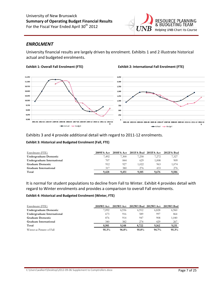

#### *ENROLMENT*

University financial results are largely driven by enrolment. Exhibits 1 and 2 illustrate historical actual and budgeted enrolments.

#### **Exhibit 1: Overall Fall Enrolment (FTE) Exhibit 2: International Fall Enrolment (FTE)**





#### Exhibits 3 and 4 provide additional detail with regard to 2011‐12 enrolments.

#### **Exhibit 3: Historical and Budgeted Enrolment (Fall, FTE)**

| Enrolment (FTE)               | 2009FA Act |       | 2010FA Act 2011FA Bud 2011FA Act |       | 2012FA Bud |
|-------------------------------|------------|-------|----------------------------------|-------|------------|
| Undergraduate Domestic        | 7.492      | 7,300 | 7,258                            | 7,272 | 7,327      |
| Undergraduate International   | 707        | 844   | 629                              | 1.008 | 909        |
| <b>Graduate Domestic</b>      | 912        | 927   | 1.022                            | 963   | 1,074      |
| <b>Graduate International</b> | 317        | 380   | 276                              | 433   | 276        |
| Total                         | 9.428      | 9.451 | 9.185                            | 9.676 | 9,586      |

#### It is normal for student populations to decline from Fall to Winter. Exhibit 4 provides detail with regard to Winter enrolments and provides a comparison to overall Fall enrolments.

#### **Exhibit 4: Historical and Budgeted Enrolment (Winter, FTE)**

| Enrolment (FTE)               | 2010WI Act | 2011WI Act | 2012WI Bud 2012WI Act |       | <b>2013WI Bud</b> |
|-------------------------------|------------|------------|-----------------------|-------|-------------------|
| <b>Undergraduate Domestic</b> | 7.092      | 6.936      | 6.912                 | 6.828 | 6,960             |
| Undergraduate International   | 673        | 916        | 589                   | 997   | 864               |
| <b>Graduate Domestic</b>      | 876        | 914        | 947                   | 908   | 1,040             |
| <b>Graduate International</b> | 340        | 382        | 274                   | 429   | 267               |
| Total                         | 8.981      | 9.148      | 8.722                 | 9.162 | 9,131             |
| Winter as Percent of Fall     | 95.3%      | 96.8%      | $95.0\%$              | 94.7% | $95.3\%$          |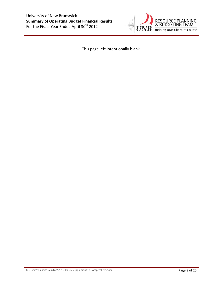

This page left intentionally blank.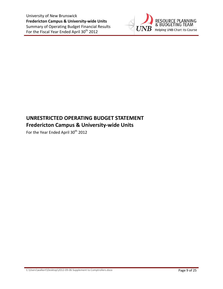

# **UNRESTRICTED OPERATING BUDGET STATEMENT Fredericton Campus & University‐wide Units**

For the Year Ended April 30<sup>th</sup> 2012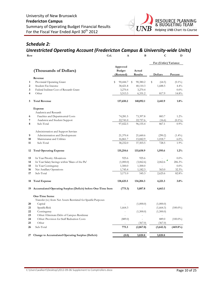

#### *Schedule 2:*

# *Unrestricted Operating Account (Fredericton Campus & University‐wide Units)*

| Row            | Col.                                                           | A             | B                | C                    | D           |
|----------------|----------------------------------------------------------------|---------------|------------------|----------------------|-------------|
|                |                                                                |               |                  | Fav (Unfav) Variance |             |
|                |                                                                | Approved      |                  |                      |             |
|                | (Thousands of Dollars)                                         | <b>Budget</b> | Actual           |                      |             |
|                |                                                                | (Restated)    | Results          | Dollars              | Percent     |
|                | Revenue                                                        |               |                  |                      |             |
| 1              | Provincial Operating Grant                                     | S<br>90,444.7 | 90,380.2<br>- \$ | \$<br>(64.5)         | $(0.1\%)$   |
| $\overline{c}$ | Student Fee Income                                             | 38,421.8      | 40,110.3         | 1,688.5              | 4.4%        |
| 3              | Federal Indirect Cost of Research Grant                        | 3,270.4       | 3,270.4          |                      | $0.0\%$     |
| 4              | Other                                                          | 5,513.3       | 6,331.2          | 817.9                | $14.8\%$    |
| 5              | <b>Total Revenue</b>                                           | 137,650.2     | 140,092.1        | 2,441.9              | 1.8%        |
|                | <b>Expense</b>                                                 |               |                  |                      |             |
|                | Academic and Research                                          |               |                  |                      |             |
| 6              | Faculties and Departmental Costs                               | 74,281.5      | 73,397.8         | 883.7                | 1.2%        |
| 7              | Academic and Student Support                                   | 22,741.0      | 22,757.6         | (16.6)               | $(0.1\%)$   |
| 8              | Sub-Total                                                      | 97,022.5      | 96,155.4         | 867.1                | 0.9%        |
|                | Administration and Support Services                            |               |                  |                      |             |
| 9              | Administration and Development                                 | 21,370.4      | 21,660.6         | (290.2)              | $(1.4\%)$   |
| 10             | Maintenance and Utilities                                      | 16,861.7      | 15,842.9         | 1,018.7              | $6.0\%$     |
| 11             | Sub-Total                                                      | 38,232.0      | 37,503.5         | 728.5                | 1.9%        |
| 12             | <b>Total Operating Expense</b>                                 | 135,254.6     | 133,658.9        | 1,595.6              | 1.2%        |
| 13             | In Year Priority Allocations                                   | 925.6         | 925.6            |                      | $0.0\%$     |
| 14             | In Year Salary Savings within 'Slices of the Pie'              | (1,000.0)     | (3,062.6)        | 2,062.6              | 206.3%      |
| 15             | In Year Contingency                                            | 1,500.0       | 1,500.0          |                      | $0.0\%$     |
| 16             | Net Anallary Operations                                        | 1,745.4       | 1,182.3          | 563.0                | $32.3\%$    |
| 17             | Sub-Total                                                      | 3,171.0       | 545.3            | 2,625.6              | 82.8%       |
| 18             | <b>Total Expense</b>                                           | 138,425.5     | 134,204.3        | 4,221.3              | 3.0%        |
| 19             | Accumulated Operating Surplus (Deficit) before One-Time Item   | (775.3)       | 5,887.8          | 6,663.1              |             |
|                | One-Time Items:                                                |               |                  |                      |             |
|                | Transfer (to) from Net Assets Restricted for Specific Purposes |               |                  |                      |             |
| 20             | Capital                                                        |               | (1,000.0)        | (1,000.0)            |             |
| 21             | Specific Risk                                                  | 1,664.3       |                  | (1,664.3)            | $(100.0\%)$ |
| 22             | Contingency                                                    |               | (1,500.0)        | (1,500.0)            |             |
| 23             | Other: Eliminate Debt of Campus Residence                      |               |                  | ÷,                   |             |
| 24             | Other: Provision for Staff Reduction Costs                     | (889.0)       |                  | 889.0                | $(100.0\%)$ |
| 25             | Other                                                          |               | (367.0)          | (367.0)              |             |
| 26             | Sub-Total                                                      | 775.3         | (2,867.0)        | (3,642.3)            | $(469.8\%)$ |
| 27             | Change to Accumulated Operating Surplus (Deficit)              | (0.0)         | 3,020.8          | 3,020.8              |             |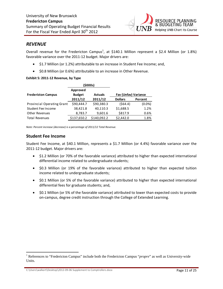

### *REVENUE*

Overall revenue for the Fredericton Campus<sup>1</sup>, at \$140.1 Million represent a \$2.4 Million (or 1.8%) favorable variance over the 2011‐12 budget. Major drivers are:

- \$1.7 Million (or 1.2%) attributable to an increase in Student Fee Income; and,
- $\bullet$  \$0.8 Million (or 0.6%) attributable to an increase in Other Revenue.

#### **Exhibit 5: 2011‐12 Revenue, by Type**

|                            |               | (\$000s)       |                             |         |
|----------------------------|---------------|----------------|-----------------------------|---------|
|                            |               |                |                             |         |
| <b>Fredericton Campus</b>  | <b>Budget</b> | <b>Actuals</b> | <b>Fav (Unfav) Variance</b> |         |
|                            | 2011/12       | 2011/12        | <b>Dollars</b>              | Percent |
| Provincial Operating Grant | \$90,444.7    | \$90,380.3     | (564.4)                     | (0.0%   |
| Student Fee Income         | 38,421.8      | 40,110.3       | \$1,688.5                   | 1.2%    |
| Other Revenues             | 8,783.7       | 9,601.6        | \$817.9                     | 0.6%    |
| <b>Total Revenues</b>      | \$137,650.2   | \$140.092.2    | \$2,442.0                   | 1.8%    |

*Note: Percent increase (decrease) is a percentage of 2011/12 Total Revenue.*

#### **Student Fee Income**

Student Fee Income, at \$40.1 Million, represents a \$1.7 Million (or 4.4%) favorable variance over the 2011‐12 budget. Major drivers are:

- \$1.2 Million (or 70% of the favorable variance) attributed to higher than expected international differential income related to undergraduate students;
- \$0.3 Million (or 19% of the favorable variance) attributed to higher than expected tuition income related to undergraduate students;
- \$0.1 Million (or 5% of the favorable variance) attributed to higher than expected international differential fees for graduate students; and,
- \$0.1 Million (or 5% of the favorable variance) attributed to lower than expected costs to provide on‐campus, degree credit instruction through the College of Extended Learning.

C:\Users\walkert\Desktop\2012-09-06 Supplement to Comptrollers.docx Page 11 of 25

<sup>&</sup>lt;sup>1</sup> References to "Fredericton Campus" include both the Fredericton Campus "*propre*" as well as University-wide Units.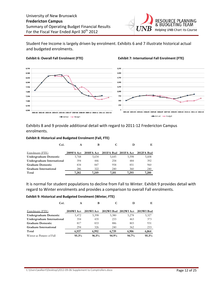

Student Fee Income is largely driven by enrolment. Exhibits 6 and 7 illustrate historical actual and budgeted enrolments.

#### **Exhibit 6: Overall Fall Enrolment (FTE) Exhibit 7: International Fall Enrolment (FTE)**



#### Exhibits 8 and 9 provide additional detail with regard to 2011‐12 Fredericton Campus enrolments.

#### **Exhibit 8: Historical and Budgeted Enrolment (Fall, FTE)**

| Col.                          | A          | в          |                       |       | Е            |
|-------------------------------|------------|------------|-----------------------|-------|--------------|
| Enrolment (FTE)               | 2009FA Act | 2010FA Act | 2011FA Bud 2011FA Act |       | $2012FA$ Bud |
| <b>Undergraduate Domestic</b> | 5,768      | 5,634      | 5,645                 | 5,598 | 5,608        |
| Undergraduate International   | 394        | 446        | 258                   | 484   | 392          |
| <b>Graduate Domestic</b>      | 834        | 847        | 958                   | 851   | 960          |
| <b>Graduate International</b> | 286        | 322        | 240                   | 360   | 240          |
| Total                         | 7.282      | 7.249      | 7.101                 | 7,293 | 7,200        |

It is normal for student populations to decline from Fall to Winter. Exhibit 9 provides detail with regard to Winter enrolments and provides a comparison to overall Fall enrolments.

#### **Exhibit 9: Historical and Budgeted Enrolment (Winter, FTE)**

| Col.                          | A          | в          |                       | D     | Е          |
|-------------------------------|------------|------------|-----------------------|-------|------------|
| Enrolment (FTE)               | 2010WI Act | 2011WI Act | 2012WI Bud 2012WI Act |       | 2013WI Bud |
| <b>Undergraduate Domestic</b> | 5,472      | 5,398      | 5,380                 | 5,278 | 5,327      |
| Undergraduate International   | 354        | 435        | 233                   | 463   | 373        |
| <b>Graduate Domestic</b>      | 817        | 833        | 886                   | 803   | 931        |
| <b>Graduate International</b> | 294        | 326        | 240                   | 362   | 233        |
| Total                         | 6,937      | 6.992      | 6,739                 | 6,906 | 6,864      |
| Winter as Percent of Fall     | 95.3%      | 96.5%      | 94.9%                 | 94.7% | 95.3%      |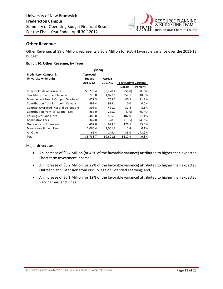

#### **Other Revenue**

Other Revenue, at \$9.6 Million, represents a \$0.8 Million (or 9.3%) favorable variance over the 2011‐12 budget.

#### **Exhibit 10: Other Revenue, by Type**

|                                         | (\$000)       |                |                      |           |
|-----------------------------------------|---------------|----------------|----------------------|-----------|
| <b>Fredericton Campus &amp;</b>         | Approved      |                |                      |           |
| <b>University-wide Units</b>            | <b>Budget</b> | <b>Actuals</b> |                      |           |
|                                         | 2011/12       | 2011/12        | Fav (Unfav) Variance |           |
|                                         |               |                | <b>Dollars</b>       | Percent   |
| Indirect Costs of Research              | \$3,270.4     | \$3,270.4      | (50.0)               | $(0.0\%)$ |
| Short-term Investment Income            | 725.0         | 1,077.1        | 352.1                | 48.6%     |
| Management Fees & Campus Overhead       | 679.5         | 759.7          | 80.2                 | 11.8%     |
| Contribution from Saint John Campus     | 999.4         | 999.4          | 0.0                  | 0.0%      |
| Contract Overhead (Net of distributions | 398.8         | 431.0          | 32.2                 | 8.1%      |
| Contribution from (to) Capital, Net     | 266.0         | 265.0          | (1.0)                | (0.4% )   |
| Parking Fees and Fines                  | 483.8         | 585.8          | 102.0                | 21.1%     |
| <b>Application Fees</b>                 | 342.0         | 328.5          | (13.5)               | $(4.0\%)$ |
| Outreach and Extension                  | 497.0         | 673.5          | 176.5                | 35.5%     |
| Mandatory Student Fees                  | 1,060.4       | 1,061.8        | 1.4                  | 0.1%      |
| All Other                               | 61.4          | 149.4          | 88.0                 | 143.2%    |
| Total                                   | \$8.783.7     | \$9,601.6      | \$817.9              | 9.3%      |

Major drivers are:

- An increase of \$0.4 Million (or 42% of the favorable variance) attributed to higher than expected Short-term Investment Income;
- An increase of \$0.2 Million (or 22% of the favorable variance) attributed to higher than expected Outreach and Extension from our College of Extended Learning; and,
- An increase of \$0.1 Million (or 12% of the favorable variance) attributed to higher than expected Parking Fees and Fines.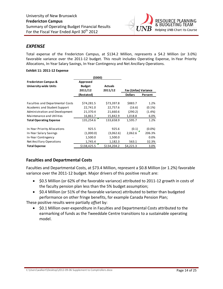

#### *EXPENSE*

Total expense of the Fredericton Campus, at \$134.2 Million, represents a \$4.2 Million (or 3.0%) favorable variance over the 2011-12 budget. This result includes Operating Expense, In-Year Priority Allocations, In‐Year Salary Savings, In‐Year Contingency and Net Ancillary Operations.

#### **Exhibit 11: 2011‐12 Expense**

|                                  | (\$000)       |                |                      |           |
|----------------------------------|---------------|----------------|----------------------|-----------|
| <b>Fredericton Campus &amp;</b>  | Approved      |                |                      |           |
| <b>University-wide Units</b>     | <b>Budget</b> | <b>Actuals</b> |                      |           |
|                                  | 2011/12       | 2011/12        | Fav (Unfav) Variance |           |
|                                  | (Restated)    |                | <b>Dollars</b>       | Percent   |
|                                  |               |                |                      |           |
| Faculties and Departmental Costs | \$74,281.5    | \$73,397.8     | \$883.7              | 1.2%      |
| Academic and Student Support     | 22,741.0      | 22,757.6       | (16.6)               | $(0.1\%)$ |
| Administration and Development   | 21,370.4      | 21,660.6       | (290.2)              | $(1.4\%)$ |
| <b>Maintenance and Utilities</b> | 16,861.7      | 15,842.9       | 1,018.8              | 6.0%      |
| <b>Total Operating Expense</b>   | 135,254.6     | 133,658.9      | 1,595.7              | 1.2%      |
|                                  |               |                |                      |           |
| In-Year Priority Allocations     | 925.5         | 925.6          | (0.1)                | (0.0%     |
| In-Year Salary Savings           | (1,000.0)     | (3,062.6)      | 2,062.6              | 206.3%    |
| In-Year Contingency              | 1,500.0       | 1,500.0        |                      | 0.0%      |
| Net Ancillary Operations         | 1,745.4       | 1,182.3        | 563.1                | 32.3%     |
| <b>Total Expense</b>             | \$138,425.5   | \$134,204.2    | \$4,221.3            | 3.0%      |

### **Faculties and Departmental Costs**

Faculties and Departmental Costs, at \$73.4 Million, represent a \$0.8 Million (or 1.2%) favorable variance over the 2011-12 budget. Major drivers of this positive result are:

- \$0.5 Million (or 62% of the favorable variance) attributed to 2011-12 growth in costs of the faculty pension plan less than the 5% budget assumption;
- \$0.4 Million (or 51% of the favorable variance) attributed to better than budgeted performance on other fringe benefits, for example Canada Pension Plan;

These positive results were partially *offset* by:

● \$0.1 Million over-expenditure in Faculties and Departmental Costs attributed to the earmarking of funds as the Tweeddale Centre transitions to a sustainable operating model.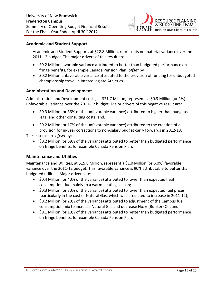

#### **Academic and Student Support**

Academic and Student Support, at \$22.8 Million, represents no material variance over the 2011-12 budget. The major drivers of this result are:

- \$0.2 Million favorable variance attributed to better than budgeted performance on fringe benefits, for example Canada Pension Plan; *offset* by
- \$0.2 Million unfavorable variance attributed to the provision of funding for unbudgeted championship travel in Intercollegiate Athletics.

#### **Administration and Development**

Administration and Development costs, at \$21.7 Million, represents a \$0.3 Million (or 1%) unfavorable variance over the 2011‐12 budget. Major drivers of this negative result are:

- \$0.3 Million (or 36% of the unfavorable variance) attributed to higher than budgeted legal and other consulting costs; and,
- \$0.2 Million (or 17% of the unfavorable variance) attributed to the creation of a provision for in‐year corrections to non‐salary budget carry forwards in 2012‐13.

These items are *offset* by:

 \$0.2 Million (or 69% of the variance) attributed to better than budgeted performance on fringe benefits, for example Canada Pension Plan.

#### **Maintenance and Utilities**

Maintenance and Utilities, at \$15.8 Million, represent a \$1.0 Million (or 6.0%) favorable variance over the 2011‐12 budget. This favorable variance is 90% attributable to better than budgeted utilities. Major drivers are:

- \$0.4 Million (or 40% of the variance) attributed to lower than expected heat consumption due mainly to a warm heating season;
- \$0.3 Million (or 30% of the variance) attributed to lower than expected fuel prices (particularly in the cost of Natural Gas, which was predicted to increase in 2011‐12);
- \$0.2 Million (or 20% of the variance) attributed to adjustment of the Campus fuel consumption mix to increase Natural Gas and decrease No. 6 (Bunker) Oil; and,
- \$0.1 Million (or 10% of the variance) attributed to better than budgeted performance on fringe benefits, for example Canada Pension Plan.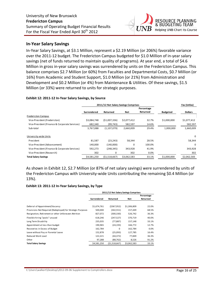

#### **In‐Year Salary Savings**

In‐Year Salary Savings, at \$3.1 Million, represent a \$2.19 Million (or 206%) favorable variance over the 2011‐12 budget. The Fredericton Campus budgeted for \$1.0 Million of in‐year salary savings (net of funds returned to maintain quality of programs). At year end, a total of \$4.6 Million in gross in‐year salary savings was surrendered by units on the Fredericton Campus. This balance comprises \$2.7 Million (or 60%) from Faculties and Departmental Costs, \$0.7 Million (or 16%) from Academic and Student Support, \$1.0 Million (or 21%) from Administration and Development and \$0.2 Million (or 4%) from Maintenance & Utilities. Of these savings, \$1.5 Million (or 33%) were returned to units for strategic purposes.

#### **Exhibit 12: 2011‐12 In‐Year Salary Savings, by Source**

|                                               | 2011/12 Net Salary Savings Comprises |               |             |            | Fav (Unfav)     |                |
|-----------------------------------------------|--------------------------------------|---------------|-------------|------------|-----------------|----------------|
|                                               |                                      |               |             | Percentage |                 |                |
|                                               | Surrendered                          | Returned      | Net         | Returned   | <b>Budgeted</b> | <b>Dollars</b> |
| Fredericton Campus                            |                                      |               |             |            |                 |                |
| Vice-President (Fredericton)                  | \$3,084,748                          | (51,007,336)  | \$2,077,412 | 32.7%      | \$1,000,000     | \$1,077,412    |
| Vice-President (Finance & Corporate Services) | 682,340                              | (99, 743)     | 582,597     | 14.6%      |                 | 582,597        |
| Sub-total                                     | 3,767,088                            | (1, 107, 079) | 2,660,009   | 29.4%      | 1,000,000       | 1,660,009      |
| University-wide Units                         |                                      |               |             |            |                 | 0              |
| President                                     | 81,587                               | (23, 243)     | 58,344      | 28.5%      |                 | 58,344         |
| Vice-President (Advancement)                  | 140,000                              | (140,000)     | $\Omega$    | 100.0%     |                 | $\Omega$       |
| Vice-President (Finance & Corporate Services) | 592,273                              | (248, 345)    | 343,928     | 41.9%      |                 | 343,928        |
| Vice-President (Research)                     | 302                                  | 0             | 302         | 0.0%       |                 | 302            |
| <b>Total Salary Savings</b>                   | \$4,581,250                          | (51,518,667)  | \$3,062,583 | 33.1%      | \$1.000.000     | \$2,062,583    |

As shown in Exhibit 12, \$2.7 Million (or 87% of net salary savings) were surrendered by units of the Fredericton Campus with University‐wide Units contributing the remaining \$0.4 Million (or 13%).

#### **Exhibit 13: 2011‐12 In‐Year Salary Savings, by Type**

| 2011/12 Net Salary Savings Comprises |                |             |             |  |  |
|--------------------------------------|----------------|-------------|-------------|--|--|
|                                      |                |             | Percentage  |  |  |
| Surrendered                          | Returned       | Net         | Returned    |  |  |
|                                      |                |             |             |  |  |
|                                      |                |             | 22.0%       |  |  |
| 500,000                              | (342, 551)     | 157,449     | 68.5%       |  |  |
| 827,072                              | (300, 330)     | 526,742     | 36.3%       |  |  |
| 618,246                              | (247, 527)     | 370,719     | 40.0%       |  |  |
| 235,035                              | (77, 887)      | 157,148     | 33.1%       |  |  |
| 190,965                              | (24, 193)      | 166,772     | 12.7%       |  |  |
| 162,784                              | 0              | 162,784     | 0.0%        |  |  |
| 152,878                              | (25,093)       | 127,785     | 16.4%       |  |  |
| 122,221                              | (44, 372)      | 77,849      | 36.3%       |  |  |
| 97,288                               | (88, 762)      | 8,526       | 91.2%       |  |  |
| \$4,581,250                          | ( \$1,518,667) | \$3,062,583 | 33.1%       |  |  |
|                                      | \$1,674,761    | (\$367,952) | \$1,306,809 |  |  |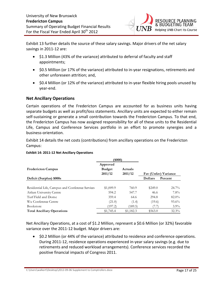

Exhibit 13 further details the source of these salary savings. Major drivers of the net salary savings in 2011-12 are:

- \$1.3 Million (43% of the variance) attributed to deferral of faculty and staff appointments;
- \$0.5 Million (or 17% of the variance) attributed to in-year resignations, retirements and other unforeseen attrition; and,
- \$0.4 Million (or 12% of the variance) attributed to in-year flexible hiring pools unused by year‐end.

#### **Net Ancillary Operations**

Certain operations of the Fredericton Campus are accounted for as business units having separate budgets as well as profit/loss statements. Ancillary units are expected to either remain self-sustaining or generate a small contribution towards the Fredericton Campus. To that end, the Fredericton Campus has now assigned responsibility for all of these units to the Residential Life, Campus and Conference Services portfolio in an effort to promote synergies and a business‐orientation.

Exhibit 14 details the net costs (contributions) from ancillary operations on the Fredericton Campus:

|                                                  | (\$000)                              |                    |         |                      |
|--------------------------------------------------|--------------------------------------|--------------------|---------|----------------------|
| <b>Fredericton Campus</b>                        | Approved<br><b>Budget</b><br>2011/12 | Actuals<br>2011/12 |         | Fav (Unfav) Variance |
| Deficit (Surplus) \$000s                         |                                      |                    | Dollars | Percent              |
|                                                  |                                      |                    |         |                      |
| Residential Life, Campus and Conference Services | \$1,009.9                            | 760.9              | \$249.0 | 24.7%                |
| <b>Aitken University Centre</b>                  | 594.2                                | 547.7              | 46.6    | $7.8\%$              |
| Turf Field and Dome                              | 359.4                                | 64.6               | 294.8   | $82.0\%$             |
| Wu Conference Centre                             | (21.0)                               | (1.4)              | (19.6)  | $93.6\%$             |
| <b>Bookstore</b>                                 | (197.2)                              | (189.5)            | (7.7)   | $3.9\%$              |
| <b>Total Ancillary Operations</b>                | \$1,745.4                            | \$1,182.3          | \$563.0 | 32.3%                |

#### **Exhibit 14: 2011‐12 Net Ancillary Operations**

Net Ancillary Operations, at a cost of \$1.2 Million, represent a \$0.6 Million (or 32%) favorable variance over the 2011‐12 budget. Major drivers are:

 $\bullet$  \$0.2 Million (or 44% of the variance) attributed to residence and conference operations. During 2011‐12, residence operations experienced in‐year salary savings (e.g. due to retirements and reduced workload arrangements). Conference services recorded the positive financial impacts of Congress 2011.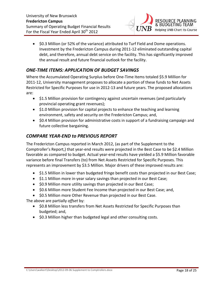

 \$0.3 Million (or 52% of the variance) attributed to Turf Field and Dome operations. Investment by the Fredericton Campus during 2011‐12 eliminated outstanding capital debt, and therefore, annual debt service on the facility. This has significantly improved the annual result and future financial outlook for the facility.

# *ONE‐TIME ITEMS: APPLICATION OF BUDGET SAVINGS*

Where the Accumulated Operating Surplus before One‐Time Items totaled \$5.9 Million for 2011-12, University management proposes to allocate a portion of these funds to Net Assets Restricted for Specific Purposes for use in 2012‐13 and future years. The proposed allocations are:

- \$1.5 Million provision for contingency against uncertain revenues (and particularly provincial operating grant revenues);
- \$1.0 Million provision for capital projects to enhance the teaching and learning environment, safety and security on the Fredericton Campus; and,
- \$0.4 Million provision for administrative costs in support of a fundraising campaign and future collective bargaining.

# *COMPARE YEAR‐END to PREVIOUS REPORT*

The Fredericton Campus reported in March 2012, (as part of the Supplement to the Comptroller's Report,) that year‐end results were projected in the Best Case to be \$2.4 Million favorable as compared to budget. Actual year-end results have yielded a \$5.9 Million favorable variance before final Transfers (to) from Net Assets Restricted for Specific Purposes. This represents an improvement by \$3.5 Million. Major drivers of these improved results are:

- \$1.5 Million in lower than budgeted fringe benefit costs than projected in our Best Case;
- \$1.1 Million more in-year salary savings than projected in our Best Case;
- \$0.9 Million more utility savings than projected in our Best Case;
- \$0.6 Million more Student Fee Income than projected in our Best Case; and,
- $\bullet$  \$0.5 Million more Other Revenue than projected in our Best Case.

The above are partially *offset* by:

- \$0.8 Million less transfers from Net Assets Restricted for Specific Purposes than budgeted; and,
- \$0.3 Million higher than budgeted legal and other consulting costs.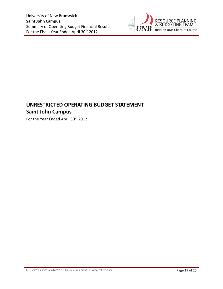

# **UNRESTRICTED OPERATING BUDGET STATEMENT Saint John Campus**

For the Year Ended April 30<sup>th</sup> 2012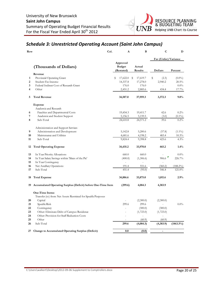

# *Schedule 3: Unrestricted Operating Account (Saint John Campus)*

| Row                            | Col.                                                           | A                                       |    | B                 | $\mathbf C$          | D                   |
|--------------------------------|----------------------------------------------------------------|-----------------------------------------|----|-------------------|----------------------|---------------------|
|                                |                                                                |                                         |    |                   | Fav (Unfav) Variance |                     |
|                                | (Thousands of Dollars)                                         | Approved<br><b>Budget</b><br>(Restated) |    | Actual<br>Results | Dollars              | Percent             |
|                                | Revenue                                                        |                                         |    |                   |                      |                     |
| $\mathbf{1}$<br>$\overline{2}$ | Provincial Operating Grant                                     | \$<br>17,622.0                          | -S | 17,619.7          | \$<br>(2.3)          | $(0.0\%)$           |
|                                | Student Fee Income                                             | 14,337.8<br>176.0                       |    | 17,278.0          | 2,940.2              | 20.5%               |
| 3<br>4                         | Federal Indirect Cost of Research Grant<br>Other               | 2,451.2                                 |    | 176.0<br>2,885.6  | 434.4                | $0.0\%$<br>$17.7\%$ |
|                                |                                                                |                                         |    |                   |                      |                     |
| 5                              | <b>Total Revenue</b>                                           | 34,587.0                                |    | 37,959.3          | 3,372.3              | 9.8%                |
|                                | <b>Expense</b>                                                 |                                         |    |                   |                      |                     |
| 6                              | Academic and Research<br>Faculties and Departmental Costs      | 19,454.3                                |    | 19,411.7          | 42.6                 | 0.2%                |
| 7                              | Academic and Student Support                                   | 5,156.5                                 |    | 5,159.5           | (3.0)                | $(0.1\%)$           |
| 8                              | Sub-Total                                                      | 24,610.8                                |    | 24,571.2          | 39.6                 | 0.2%                |
|                                |                                                                |                                         |    |                   |                      |                     |
|                                | Administration and Support Services                            |                                         |    |                   |                      |                     |
| 9                              | Administration and Development                                 | 5,142.8                                 |    | 5,200.6           | (57.8)               | $(1.1\%)$           |
| 10                             | Maintenance and Utilities                                      | 4,681.6                                 |    | 4,198.2           | 483.4                | $10.3\%$            |
| 11                             | Sub-Total                                                      | 9,824.4                                 |    | 9,398.8           | 425.6                | 4.3%                |
| 12                             | <b>Total Operating Expense</b>                                 | 34,435.2                                |    | 33,970.0          | 465.2                | 1.4%                |
| 13                             | In Year Priority Allocations                                   | 660.0                                   |    | 660.0             |                      | $0.0\%$             |
| 14                             | In Year Salary Savings within 'Slices of the Pie'              | (400.0)                                 |    | (1,306.6)         | 906.6                | 226.7%              |
| 15                             | In Year Contingency                                            | $\frac{1}{2}$                           |    | $\frac{1}{2}$     |                      |                     |
| 16                             | Net Anallary Operations                                        | 191.4                                   |    | 551.6             | (360.2)              | $(188.2\%)$         |
| 17                             | Sub-Total                                                      | 451.4                                   |    | (95.0)            | 546.4                | 121.0%              |
| 18                             | <b>Total Expense</b>                                           | 34,886.6                                |    | 33,875.0          | 1,011.6              | 2.9%                |
| 19                             | Accumulated Operating Surplus (Deficit) before One-Time Item   | (299.6)                                 |    | 4,084.3           | 4,383.9              |                     |
|                                | One-Time Items:                                                |                                         |    |                   |                      |                     |
|                                | Transfer (to) from Net Assets Restricted for Specific Purposes |                                         |    |                   |                      |                     |
| 20                             | Capital                                                        |                                         |    | (2,300.0)         | (2,300.0)            |                     |
| 21                             | Specific Risk                                                  | 299.6                                   |    | 299.6             |                      | $0.0\%$             |
| 22                             | Contingency                                                    |                                         |    | (300.0)           | (300.0)              |                     |
| 23                             | Other: Eliminate Debt of Campus Residence                      |                                         |    | (1,723.0)         | (1,723.0)            |                     |
| 24                             | Other: Provision for Staff Reduction Costs                     |                                         |    | ä,                | ÷,                   |                     |
| 25                             | Other                                                          |                                         |    | (60.9)            | (60.9)               |                     |
| 26                             | Sub-Total                                                      | 299.6                                   |    | (4,084.3)         | (4,383.9)            | $(1463.3\%)$        |
| 27                             | Change to Accumulated Operating Surplus (Deficit)              | 0.0                                     |    | (0.0)             | $\overline{a}$       |                     |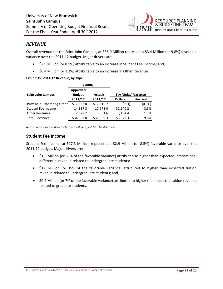

## *REVENUE*

Overall revenue for the Saint John Campus, at \$38.0 Million represent a \$3.4 Million (or 9.8%) favorable variance over the 2011-12 budget. Major drivers are:

- \$2.9 Million (or 8.5%) attributable to an increase in Student Fee Income; and,
- \$0.4 Million (or 1.3%) attributable to an increase in Other Revenue.

#### **Exhibit 15: 2011‐12 Revenue, by Type**

|                            | (\$000s)      |                |                |                             |  |
|----------------------------|---------------|----------------|----------------|-----------------------------|--|
|                            |               |                |                |                             |  |
| <b>Saint John Campus</b>   | <b>Budget</b> | <b>Actuals</b> |                | <b>Fav (Unfav) Variance</b> |  |
|                            | 2011/12       | 2011/12        | <b>Dollars</b> | Percent                     |  |
| Provincial Operating Grant | \$17,622.0    | \$17,619.7     | (52.3)         | (0.0%                       |  |
| Student Fee Income         | 14,337.8      | 17,278.0       | \$2,940.2      | 8.5%                        |  |
| Other Revenues             | 2,627.2       | 3,061.6        | \$434.4        | 1.3%                        |  |
| <b>Total Revenues</b>      | \$34,587.0    | \$37,959.3     | \$3,372.3      | 9.8%                        |  |

*Note: Percent increase (decrease) is a percentage of 2011/12 Total Revenue.*

#### **Student Fee Income**

Student Fee Income, at \$17.3 Million, represents a \$2.9 Million (or 8.5%) favorable variance over the 2011‐12 budget. Major drivers are:

- \$1.5 Million (or 51% of the favorable variance) attributed to higher than expected international differential revenue related to undergraduate students;
- \$1.0 Million (or 35% of the favorable variance) attributed to higher than expected tuition revenue related to undergraduate students; and,
- \$0.2 Million (or 7% of the favorable variance) attributed to higher than expected tuition revenue related to graduate students.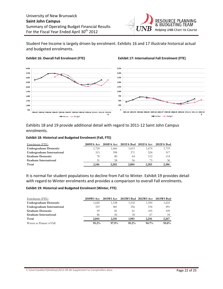

Student Fee Income is largely driven by enrolment. Exhibits 16 and 17 illustrate historical actual and budgeted enrolments.

#### **Exhibit 16: Overall Fall Enrolment (FTE) Exhibit 17: International Fall Enrolment (FTE)**

#### 2,250 3,000 2,750 2,000 2,500 1,750 1,500 2,250 1,250 2,000 1,000 1,750 750 1,500 500 1.250 250 1,000 750 2001-02 2002-03 2003-04 2004-05 2005-06 2006-07 2007-08 2008-09 2009-10 2010-11 2011-12 2012-13 2001-02 2002-03 2003-04 2004-05 2005-06 2006-07 2007-08 2008-09 2009-10 2010-11 2011-12 2012-13  $-\blacksquare$ Actual  $\rightarrow$  Budget  $-\blacksquare$ -Actual  $-\blacksquare$ -Budget

#### Exhibits 18 and 19 provide additional detail with regard to 2011‐12 Saint John Campus enrolments.

#### **Exhibit 18: Historical and Budgeted Enrolment (Fall, FTE)**

| Enrolment (FTE)               | 2009FA Act |       | 2010FA Act 2011FA Bud 2011FA Act |       | 2012FA Bud |
|-------------------------------|------------|-------|----------------------------------|-------|------------|
| <b>Undergraduate Domestic</b> | 1.724      | 1.666 | 1.613                            | 1.674 | 1,719      |
| Undergraduate International   | 313        | 398   | 371                              | 524   | 517        |
| <b>Graduate Domestic</b>      | 78         | 80    | 64                               | 112   | 114        |
| <b>Graduate International</b> | 31         | 58    | 36                               | 73    | 36         |
| Total                         | 2.146      | 2.202 | 2.084                            | 2.383 | 2,386      |

It is normal for student populations to decline from Fall to Winter. Exhibit 19 provides detail with regard to Winter enrolments and provides a comparison to overall Fall enrolments.

#### **Exhibit 19: Historical and Budgeted Enrolment (Winter, FTE)**

| Enrolment (FTE)               | 2010WI Act | 2011WI Act | 2012WI Bud 2012WI Act |          | 2013WI Bud |
|-------------------------------|------------|------------|-----------------------|----------|------------|
| <b>Undergraduate Domestic</b> | 1,620      | 1,538      | 1,532                 | 1,550    | 1,633      |
| Undergraduate International   | 319        | 481        | 356                   | 534      | 491        |
| Graduate Domestic             | 59         | 81         | 61                    | 105      | 109        |
| <b>Graduate International</b> | 46         | 56         | 34                    | 67       | 34         |
| Total                         | 2.044      | 2.156      | 1.983                 | 2.256    | 2,267      |
| Winter as Percent of Fall     | 95.2%      | 97.9%      | $95.2\%$              | $94.7\%$ | $95.0\%$   |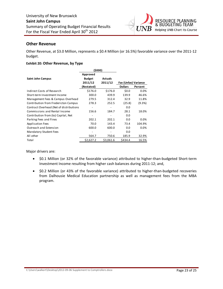

#### **Other Revenue**

Other Revenue, at \$3.0 Million, represents a \$0.4 Million (or 16.5%) favorable variance over the 2011‐12 budget.

#### **Exhibit 20: Other Revenue, by Type**

|                                         | (\$000)       |                |                      |         |
|-----------------------------------------|---------------|----------------|----------------------|---------|
|                                         | Approved      |                |                      |         |
| <b>Saint John Campus</b>                | <b>Budget</b> | <b>Actuals</b> |                      |         |
|                                         | 2011/12       | 2011/12        | Fav (Unfav) Variance |         |
|                                         | (Restated)    |                | <b>Dollars</b>       | Percent |
| Indirect Costs of Research              | \$176.0       | \$176.0        | \$0.0                | 0.0%    |
| Short-term Investment Income            | 300.0         | 439.9          | 139.9                | 46.6%   |
| Management Fees & Campus Overhead       | 279.5         | 312.4          | 32.9                 | 11.8%   |
| Contribution from Fredericton Campus    | 278.3         | 252.5          | (25.8)               | (9.3%)  |
| Contract Overhead (Net of distributions |               |                | 0.0                  |         |
| Commissions and Rental Income           | 156.6         | 184.7          | 28.1                 | 18.0%   |
| Contribution from (to) Capital, Net     | -             |                | 0.0                  |         |
| Parking Fees and Fines                  | 202.1         | 202.1          | 0.0                  | $0.0\%$ |
| Application Fees                        | 70.0          | 143.4          | 73.4                 | 104.9%  |
| Outreach and Extension                  | 600.0         | 600.0          | 0.0                  | 0.0%    |
| <b>Mandatory Student Fees</b>           |               |                | 0.0                  |         |
| All other                               | 564.7         | 750.6          | 185.9                | 32.9%   |
| Total                                   | \$2,627.2     | \$3,061.6      | \$434.4              | 16.5%   |

Major drivers are:

- \$0.1 Million (or 32% of the favorable variance) attributed to higher-than-budgeted Short-term Investment Income resulting from higher cash balances during 2011‐12; and,
- \$0.2 Million (or 43% of the favorable variance) attributed to higher-than-budgeted recoveries from Dalhousie Medical Education partnership as well as management fees from the MBA program.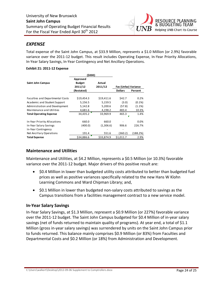

## *EXPENSE*

Total expense of the Saint John Campus, at \$33.9 Million, represents a \$1.0 Million (or 2.9%) favorable variance over the 2011-12 budget. This result includes Operating Expense, In-Year Priority Allocations, In‐Year Salary Savings, In‐Year Contingency and Net Ancillary Operations.

#### **Exhibit 21: 2011‐12 Expense**

|                                  | (\$000)       |            |                      |           |
|----------------------------------|---------------|------------|----------------------|-----------|
|                                  | Approved      |            |                      |           |
| Saint John Campus                | <b>Budget</b> | Actual     |                      |           |
|                                  | 2011/12       | 2011/12    | Fav (Unfav) Variance |           |
|                                  | (Restated)    |            | <b>Dollars</b>       | Percent   |
|                                  |               |            |                      |           |
| Faculties and Departmental Costs | \$19,454.3    | \$19,411.6 | \$42.7               | 0.2%      |
| Academic and Student Support     | 5,156.5       | 5,159.5    | (3.0)                | $(0.1\%)$ |
| Administration and Development   | 5,142.8       | 5,200.6    | (57.8)               | $(1.1\%)$ |
| Maintenance and Utilities        | 4,681.6       | 4,198.2    | 483.4                | 10.3%     |
| <b>Total Operating Expense</b>   | 34,435.2      | 33.969.9   | 465.3                | 1.4%      |
|                                  |               |            |                      |           |
| In-Year Priority Allocations     | 660.0         | 660.0      |                      | 0.0%      |
| In-Year Salary Savings           | (400.0)       | (1,306.6)  | 906.6                | 226.7%    |
| In-Year Contingency              |               |            |                      |           |
| Net Ancillary Operations         | 191.4         | 551.6      | (360.2)              | (188.2%)  |
| <b>Total Expense</b>             | \$34.886.6    | \$33,874.9 | \$1,011.7            | 2.9%      |

#### **Maintenance and Utilities**

Maintenance and Utilities, at \$4.2 Million, represents a \$0.5 Million (or 10.3%) favorable variance over the 2011-12 budget. Major drivers of this positive result are:

- S0.4 Million in lower than budgeted utility costs attributed to better than budgeted fuel prices as well as positive variances specifically related to the new Hans W Klohn Learning Commons and Ward Chipman Library; and,
- \$0.1 Million in lower than budgeted non-salary costs attributed to savings as the Campus transitions from a facilities management contract to a new service model.

#### **In‐Year Salary Savings**

In‐Year Salary Savings, at \$1.3 Million, represent a \$0.9 Million (or 227%) favorable variance over the 2011‐12 budget. The Saint John Campus budgeted for \$0.4 Million of in‐year salary savings (net of funds returned to maintain quality of programs). At year end, a total of \$1.1 Million (gross in‐year salary savings) was surrendered by units on the Saint John Campus prior to funds returned. This balance mainly comprises \$0.9 Million (or 83%) from Faculties and Departmental Costs and \$0.2 Million (or 18%) from Administration and Development.